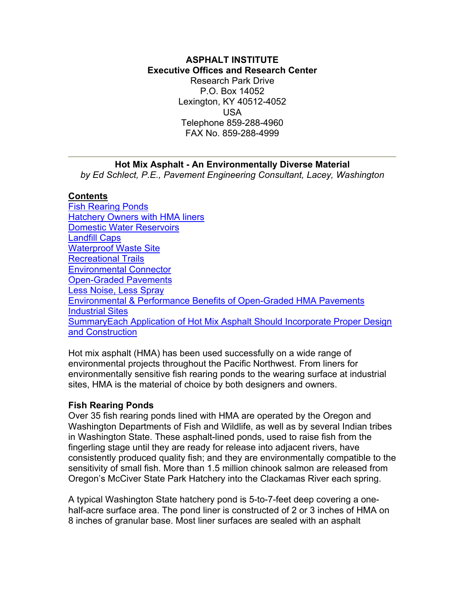#### <span id="page-0-0"></span>**ASPHALT INSTITUTE Executive Offices and Research Center** Research Park Drive P.O. Box 14052 Lexington, KY 40512-4052 USA Telephone 859-288-4960 FAX No. 859-288-4999

### **Hot Mix Asphalt - An Environmentally Diverse Material**

*by Ed Schlect, P.E., Pavement Engineering Consultant, Lacey, Washington* 

#### **Contents**

[Fish Rearing Ponds](#page-0-0) [Hatchery Owners with HMA liners](#page-1-0) [Domestic Water Reservoirs](#page-1-0) [Landfill Caps](#page-1-0) [Waterproof Waste Site](#page-2-0) [Recreational Trails](#page-2-0) [Environmental Connector](#page-2-0) [Open-Graded Pavements](#page-3-0) [Less Noise, Less Spray](#page-3-0) [Environmental & Performance Benefits of Open-Graded HMA Pavements](#page-4-0) [Industrial Sites](#page-4-0) SummaryEach Application of Hot Mix Asphalt Should Incorporate Proper Design and Construction

Hot mix asphalt (HMA) has been used successfully on a wide range of environmental projects throughout the Pacific Northwest. From liners for environmentally sensitive fish rearing ponds to the wearing surface at industrial sites, HMA is the material of choice by both designers and owners.

#### **Fish Rearing Ponds**

Over 35 fish rearing ponds lined with HMA are operated by the Oregon and Washington Departments of Fish and Wildlife, as well as by several Indian tribes in Washington State. These asphalt-lined ponds, used to raise fish from the fingerling stage until they are ready for release into adjacent rivers, have consistently produced quality fish; and they are environmentally compatible to the sensitivity of small fish. More than 1.5 million chinook salmon are released from Oregon's McCiver State Park Hatchery into the Clackamas River each spring.

A typical Washington State hatchery pond is 5-to-7-feet deep covering a onehalf-acre surface area. The pond liner is constructed of 2 or 3 inches of HMA on 8 inches of granular base. Most liner surfaces are sealed with an asphalt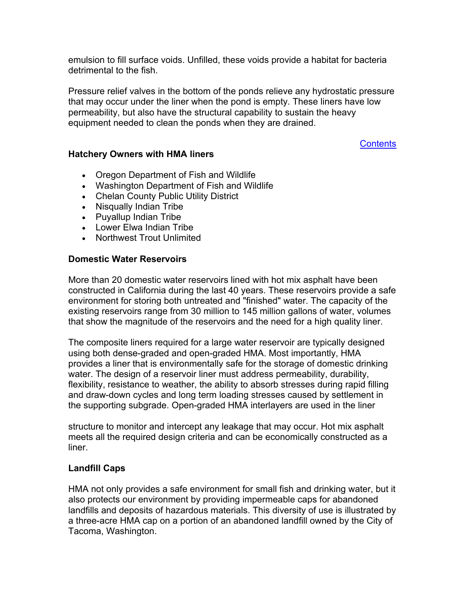<span id="page-1-0"></span>emulsion to fill surface voids. Unfilled, these voids provide a habitat for bacteria detrimental to the fish.

Pressure relief valves in the bottom of the ponds relieve any hydrostatic pressure that may occur under the liner when the pond is empty. These liners have low permeability, but also have the structural capability to sustain the heavy equipment needed to clean the ponds when they are drained.

**[Contents](#page-0-0)** 

### **Hatchery Owners with HMA liners**

- Oregon Department of Fish and Wildlife
- Washington Department of Fish and Wildlife
- Chelan County Public Utility District
- Nisqually Indian Tribe
- Puyallup Indian Tribe
- Lower Elwa Indian Tribe
- Northwest Trout Unlimited

# **Domestic Water Reservoirs**

More than 20 domestic water reservoirs lined with hot mix asphalt have been constructed in California during the last 40 years. These reservoirs provide a safe environment for storing both untreated and "finished" water. The capacity of the existing reservoirs range from 30 million to 145 million gallons of water, volumes that show the magnitude of the reservoirs and the need for a high quality liner.

The composite liners required for a large water reservoir are typically designed using both dense-graded and open-graded HMA. Most importantly, HMA provides a liner that is environmentally safe for the storage of domestic drinking water. The design of a reservoir liner must address permeability, durability, flexibility, resistance to weather, the ability to absorb stresses during rapid filling and draw-down cycles and long term loading stresses caused by settlement in the supporting subgrade. Open-graded HMA interlayers are used in the liner

structure to monitor and intercept any leakage that may occur. Hot mix asphalt meets all the required design criteria and can be economically constructed as a liner.

# **Landfill Caps**

HMA not only provides a safe environment for small fish and drinking water, but it also protects our environment by providing impermeable caps for abandoned landfills and deposits of hazardous materials. This diversity of use is illustrated by a three-acre HMA cap on a portion of an abandoned landfill owned by the City of Tacoma, Washington.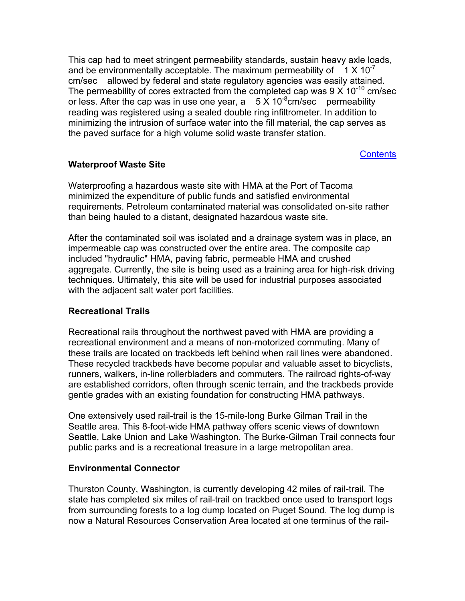<span id="page-2-0"></span>This cap had to meet stringent permeability standards, sustain heavy axle loads, and be environmentally acceptable. The maximum permeability of  $1 \times 10^{-7}$ cm/sec allowed by federal and state regulatory agencies was easily attained. The permeability of cores extracted from the completed cap was  $9 \times 10^{-10}$  cm/sec or less. After the cap was in use one year,  $a = 5 \times 10^{-8}$ cm/sec permeability reading was registered using a sealed double ring infiltrometer. In addition to minimizing the intrusion of surface water into the fill material, the cap serves as the paved surface for a high volume solid waste transfer station.

**[Contents](#page-0-0)** 

# **Waterproof Waste Site**

Waterproofing a hazardous waste site with HMA at the Port of Tacoma minimized the expenditure of public funds and satisfied environmental requirements. Petroleum contaminated material was consolidated on-site rather than being hauled to a distant, designated hazardous waste site.

After the contaminated soil was isolated and a drainage system was in place, an impermeable cap was constructed over the entire area. The composite cap included "hydraulic" HMA, paving fabric, permeable HMA and crushed aggregate. Currently, the site is being used as a training area for high-risk driving techniques. Ultimately, this site will be used for industrial purposes associated with the adjacent salt water port facilities.

### **Recreational Trails**

Recreational rails throughout the northwest paved with HMA are providing a recreational environment and a means of non-motorized commuting. Many of these trails are located on trackbeds left behind when rail lines were abandoned. These recycled trackbeds have become popular and valuable asset to bicyclists, runners, walkers, in-line rollerbladers and commuters. The railroad rights-of-way are established corridors, often through scenic terrain, and the trackbeds provide gentle grades with an existing foundation for constructing HMA pathways.

One extensively used rail-trail is the 15-mile-long Burke Gilman Trail in the Seattle area. This 8-foot-wide HMA pathway offers scenic views of downtown Seattle, Lake Union and Lake Washington. The Burke-Gilman Trail connects four public parks and is a recreational treasure in a large metropolitan area.

### **Environmental Connector**

Thurston County, Washington, is currently developing 42 miles of rail-trail. The state has completed six miles of rail-trail on trackbed once used to transport logs from surrounding forests to a log dump located on Puget Sound. The log dump is now a Natural Resources Conservation Area located at one terminus of the rail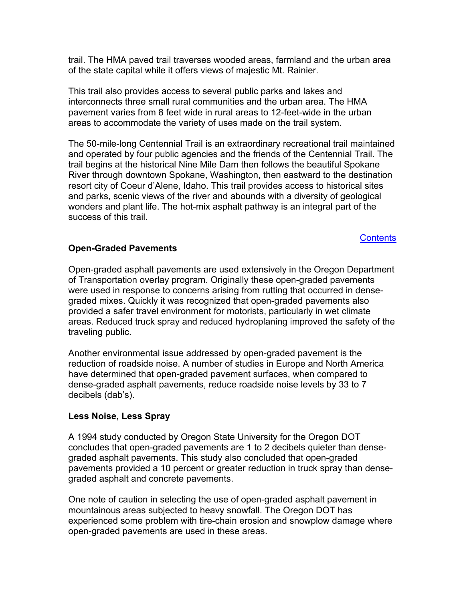<span id="page-3-0"></span>trail. The HMA paved trail traverses wooded areas, farmland and the urban area of the state capital while it offers views of majestic Mt. Rainier.

This trail also provides access to several public parks and lakes and interconnects three small rural communities and the urban area. The HMA pavement varies from 8 feet wide in rural areas to 12-feet-wide in the urban areas to accommodate the variety of uses made on the trail system.

The 50-mile-long Centennial Trail is an extraordinary recreational trail maintained and operated by four public agencies and the friends of the Centennial Trail. The trail begins at the historical Nine Mile Dam then follows the beautiful Spokane River through downtown Spokane, Washington, then eastward to the destination resort city of Coeur d'Alene, Idaho. This trail provides access to historical sites and parks, scenic views of the river and abounds with a diversity of geological wonders and plant life. The hot-mix asphalt pathway is an integral part of the success of this trail.

**[Contents](#page-0-0)** 

# **Open-Graded Pavements**

Open-graded asphalt pavements are used extensively in the Oregon Department of Transportation overlay program. Originally these open-graded pavements were used in response to concerns arising from rutting that occurred in densegraded mixes. Quickly it was recognized that open-graded pavements also provided a safer travel environment for motorists, particularly in wet climate areas. Reduced truck spray and reduced hydroplaning improved the safety of the traveling public.

Another environmental issue addressed by open-graded pavement is the reduction of roadside noise. A number of studies in Europe and North America have determined that open-graded pavement surfaces, when compared to dense-graded asphalt pavements, reduce roadside noise levels by 33 to 7 decibels (dab's).

### **Less Noise, Less Spray**

A 1994 study conducted by Oregon State University for the Oregon DOT concludes that open-graded pavements are 1 to 2 decibels quieter than densegraded asphalt pavements. This study also concluded that open-graded pavements provided a 10 percent or greater reduction in truck spray than densegraded asphalt and concrete pavements.

One note of caution in selecting the use of open-graded asphalt pavement in mountainous areas subjected to heavy snowfall. The Oregon DOT has experienced some problem with tire-chain erosion and snowplow damage where open-graded pavements are used in these areas.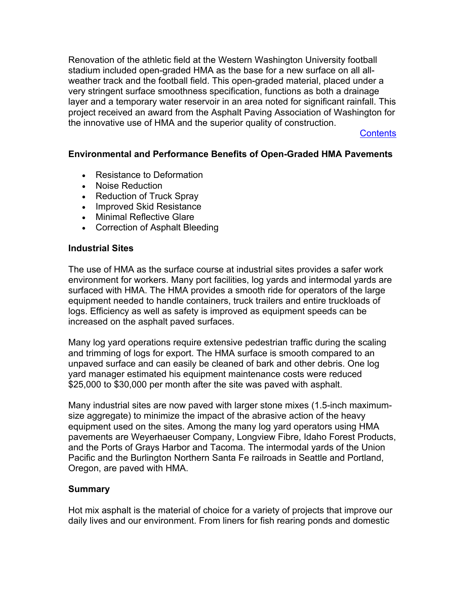<span id="page-4-0"></span>Renovation of the athletic field at the Western Washington University football stadium included open-graded HMA as the base for a new surface on all allweather track and the football field. This open-graded material, placed under a very stringent surface smoothness specification, functions as both a drainage layer and a temporary water reservoir in an area noted for significant rainfall. This project received an award from the Asphalt Paving Association of Washington for the innovative use of HMA and the superior quality of construction.

**[Contents](#page-0-0)** 

### **Environmental and Performance Benefits of Open-Graded HMA Pavements**

- Resistance to Deformation
- Noise Reduction
- Reduction of Truck Spray
- Improved Skid Resistance
- Minimal Reflective Glare
- Correction of Asphalt Bleeding

#### **Industrial Sites**

The use of HMA as the surface course at industrial sites provides a safer work environment for workers. Many port facilities, log yards and intermodal yards are surfaced with HMA. The HMA provides a smooth ride for operators of the large equipment needed to handle containers, truck trailers and entire truckloads of logs. Efficiency as well as safety is improved as equipment speeds can be increased on the asphalt paved surfaces.

Many log yard operations require extensive pedestrian traffic during the scaling and trimming of logs for export. The HMA surface is smooth compared to an unpaved surface and can easily be cleaned of bark and other debris. One log yard manager estimated his equipment maintenance costs were reduced \$25,000 to \$30,000 per month after the site was paved with asphalt.

Many industrial sites are now paved with larger stone mixes (1.5-inch maximumsize aggregate) to minimize the impact of the abrasive action of the heavy equipment used on the sites. Among the many log yard operators using HMA pavements are Weyerhaeuser Company, Longview Fibre, Idaho Forest Products, and the Ports of Grays Harbor and Tacoma. The intermodal yards of the Union Pacific and the Burlington Northern Santa Fe railroads in Seattle and Portland, Oregon, are paved with HMA.

### **Summary**

Hot mix asphalt is the material of choice for a variety of projects that improve our daily lives and our environment. From liners for fish rearing ponds and domestic